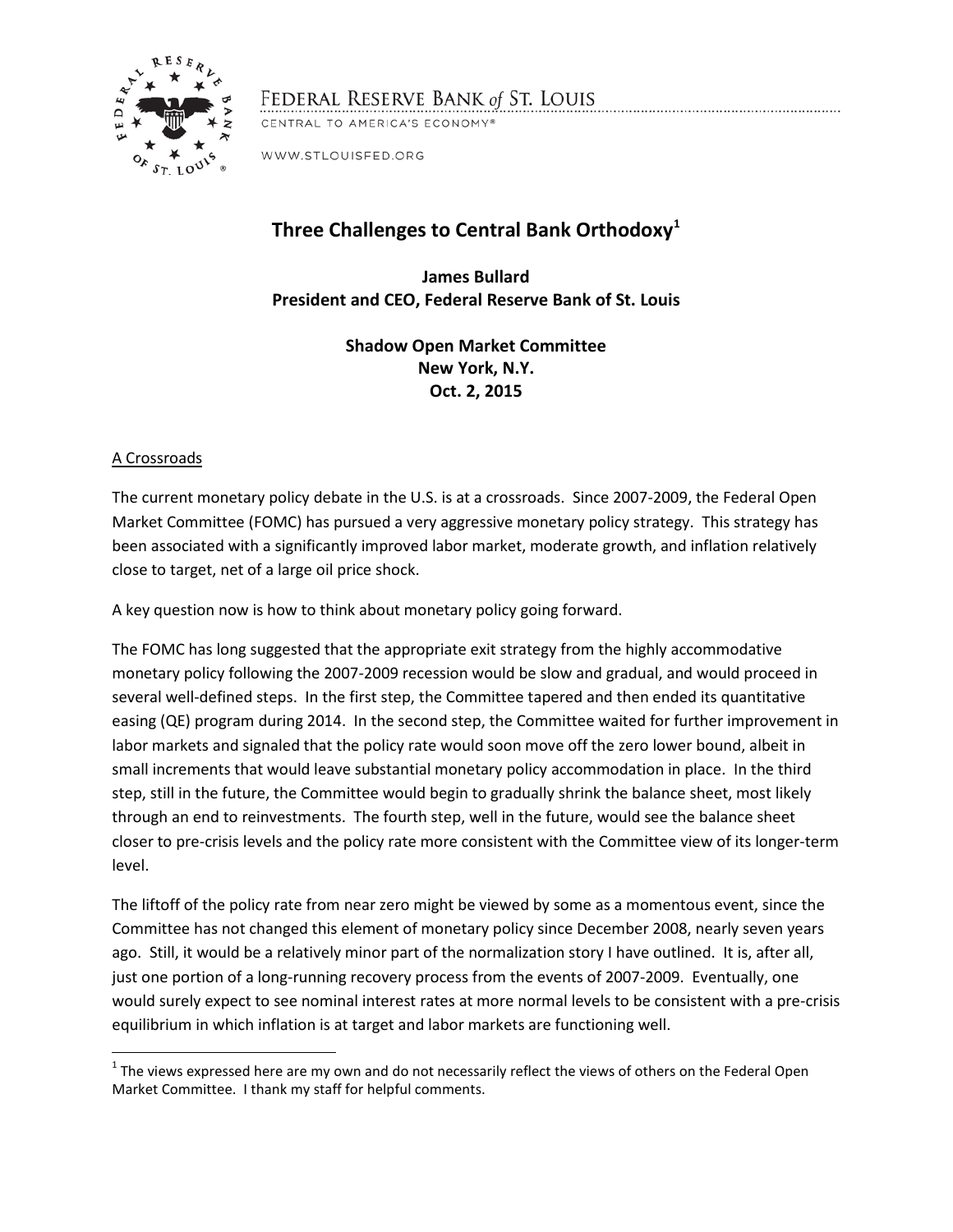

## FEDERAL RESERVE BANK of ST. LOUIS

CENTRAL TO AMERICA'S ECONOMY®

WWW.STLOUISFED.ORG

# **Three Challenges to Central Bank Orthodoxy[1](#page-0-0)**

**James Bullard President and CEO, Federal Reserve Bank of St. Louis**

> **Shadow Open Market Committee New York, N.Y. Oct. 2, 2015**

### A Crossroads

The current monetary policy debate in the U.S. is at a crossroads. Since 2007-2009, the Federal Open Market Committee (FOMC) has pursued a very aggressive monetary policy strategy. This strategy has been associated with a significantly improved labor market, moderate growth, and inflation relatively close to target, net of a large oil price shock.

A key question now is how to think about monetary policy going forward.

The FOMC has long suggested that the appropriate exit strategy from the highly accommodative monetary policy following the 2007-2009 recession would be slow and gradual, and would proceed in several well-defined steps. In the first step, the Committee tapered and then ended its quantitative easing (QE) program during 2014. In the second step, the Committee waited for further improvement in labor markets and signaled that the policy rate would soon move off the zero lower bound, albeit in small increments that would leave substantial monetary policy accommodation in place. In the third step, still in the future, the Committee would begin to gradually shrink the balance sheet, most likely through an end to reinvestments. The fourth step, well in the future, would see the balance sheet closer to pre-crisis levels and the policy rate more consistent with the Committee view of its longer-term level.

The liftoff of the policy rate from near zero might be viewed by some as a momentous event, since the Committee has not changed this element of monetary policy since December 2008, nearly seven years ago. Still, it would be a relatively minor part of the normalization story I have outlined. It is, after all, just one portion of a long-running recovery process from the events of 2007-2009. Eventually, one would surely expect to see nominal interest rates at more normal levels to be consistent with a pre-crisis equilibrium in which inflation is at target and labor markets are functioning well.

<span id="page-0-0"></span> $1$  The views expressed here are my own and do not necessarily reflect the views of others on the Federal Open Market Committee. I thank my staff for helpful comments.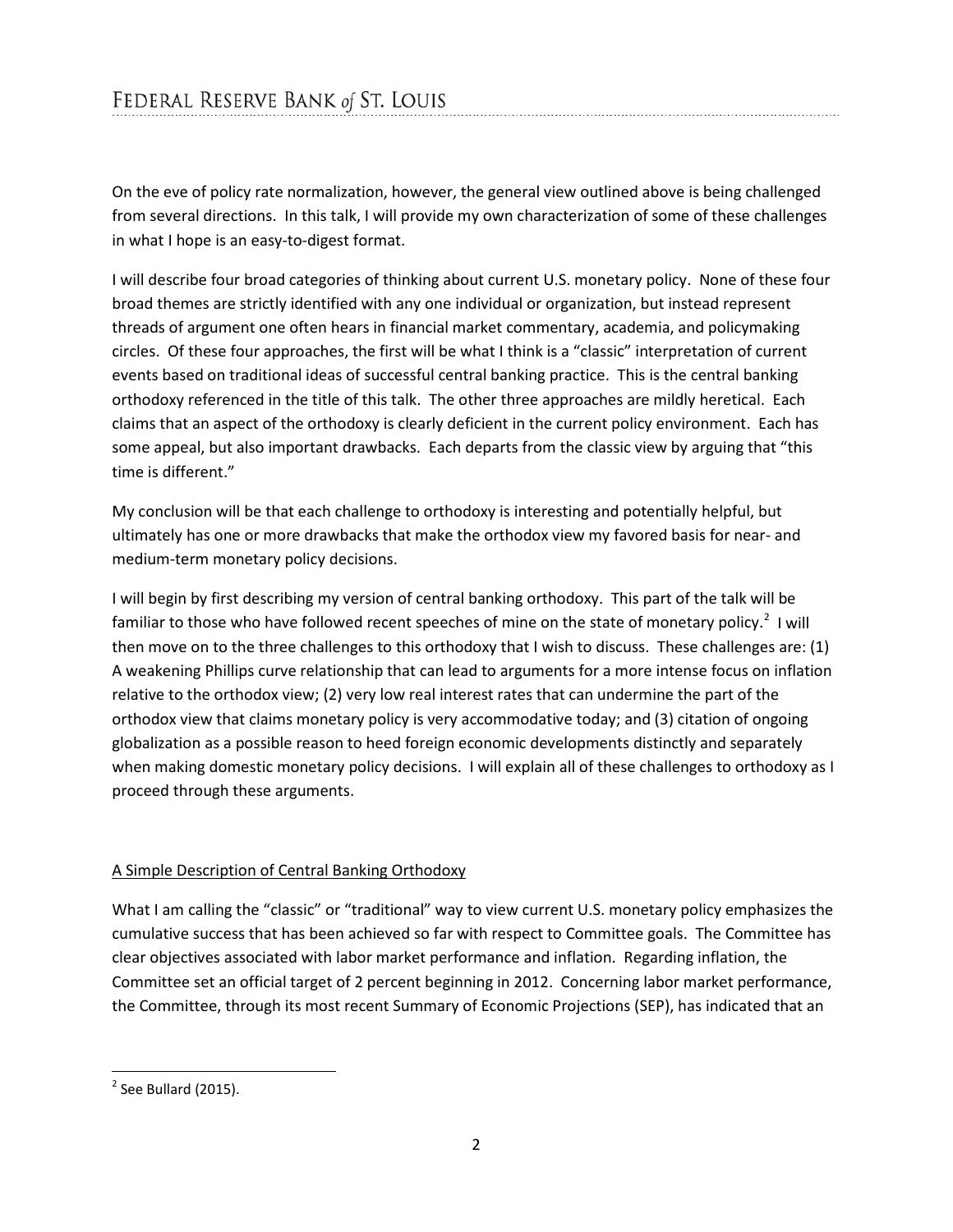On the eve of policy rate normalization, however, the general view outlined above is being challenged from several directions. In this talk, I will provide my own characterization of some of these challenges in what I hope is an easy-to-digest format.

I will describe four broad categories of thinking about current U.S. monetary policy. None of these four broad themes are strictly identified with any one individual or organization, but instead represent threads of argument one often hears in financial market commentary, academia, and policymaking circles. Of these four approaches, the first will be what I think is a "classic" interpretation of current events based on traditional ideas of successful central banking practice. This is the central banking orthodoxy referenced in the title of this talk. The other three approaches are mildly heretical. Each claims that an aspect of the orthodoxy is clearly deficient in the current policy environment. Each has some appeal, but also important drawbacks. Each departs from the classic view by arguing that "this time is different."

My conclusion will be that each challenge to orthodoxy is interesting and potentially helpful, but ultimately has one or more drawbacks that make the orthodox view my favored basis for near- and medium-term monetary policy decisions.

I will begin by first describing my version of central banking orthodoxy. This part of the talk will be familiar to those who have followed recent speeches of mine on the state of monetary policy.<sup>[2](#page-1-0)</sup> I will then move on to the three challenges to this orthodoxy that I wish to discuss. These challenges are: (1) A weakening Phillips curve relationship that can lead to arguments for a more intense focus on inflation relative to the orthodox view; (2) very low real interest rates that can undermine the part of the orthodox view that claims monetary policy is very accommodative today; and (3) citation of ongoing globalization as a possible reason to heed foreign economic developments distinctly and separately when making domestic monetary policy decisions. I will explain all of these challenges to orthodoxy as I proceed through these arguments.

### A Simple Description of Central Banking Orthodoxy

What I am calling the "classic" or "traditional" way to view current U.S. monetary policy emphasizes the cumulative success that has been achieved so far with respect to Committee goals. The Committee has clear objectives associated with labor market performance and inflation. Regarding inflation, the Committee set an official target of 2 percent beginning in 2012. Concerning labor market performance, the Committee, through its most recent Summary of Economic Projections (SEP), has indicated that an

<span id="page-1-0"></span> $2$  See Bullard (2015).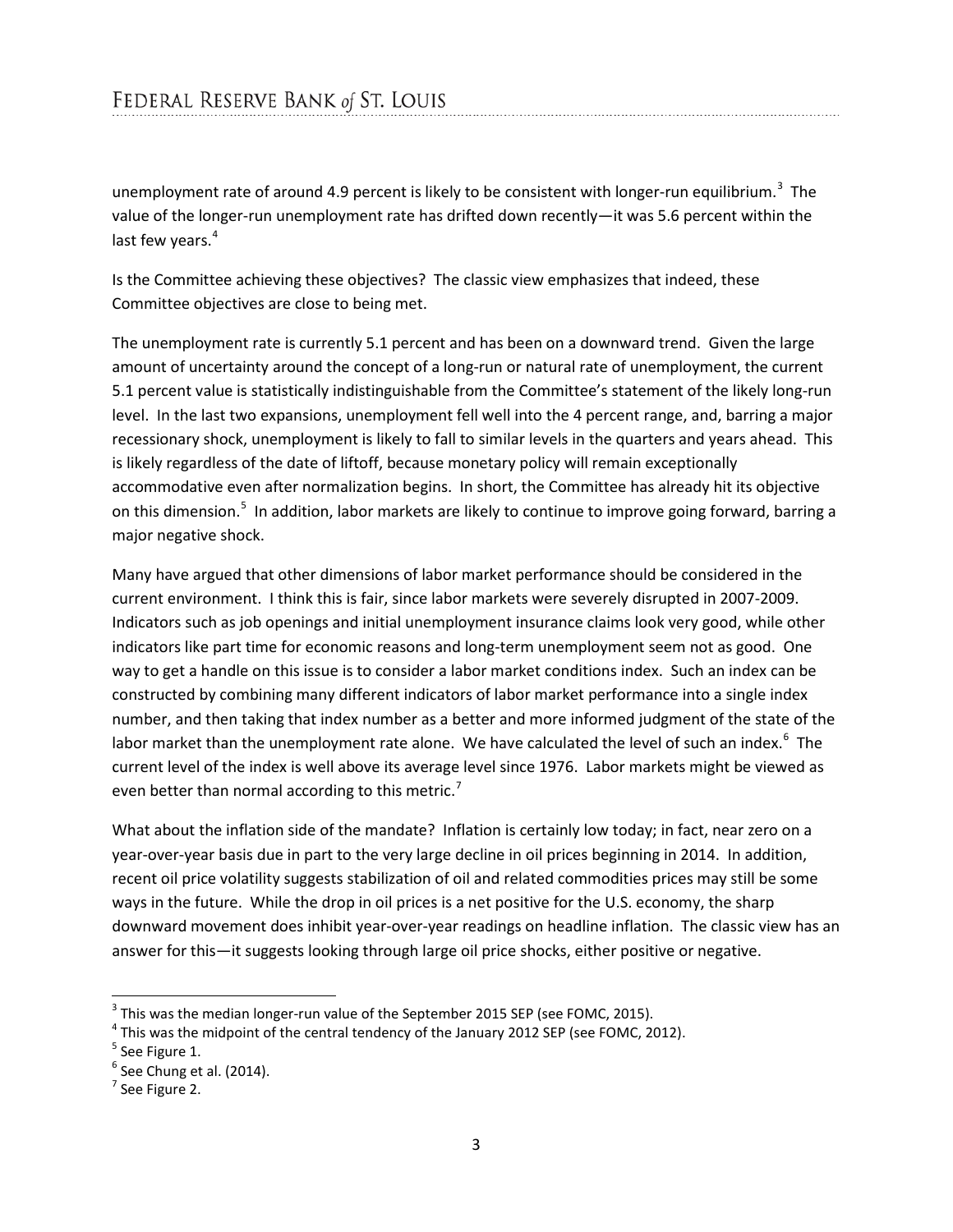unemployment rate of around 4.9 percent is likely to be consistent with longer-run equilibrium.<sup>[3](#page-2-0)</sup> The value of the longer-run unemployment rate has drifted down recently—it was 5.6 percent within the last few years.<sup>[4](#page-2-1)</sup>

Is the Committee achieving these objectives? The classic view emphasizes that indeed, these Committee objectives are close to being met.

The unemployment rate is currently 5.1 percent and has been on a downward trend. Given the large amount of uncertainty around the concept of a long-run or natural rate of unemployment, the current 5.1 percent value is statistically indistinguishable from the Committee's statement of the likely long-run level. In the last two expansions, unemployment fell well into the 4 percent range, and, barring a major recessionary shock, unemployment is likely to fall to similar levels in the quarters and years ahead. This is likely regardless of the date of liftoff, because monetary policy will remain exceptionally accommodative even after normalization begins. In short, the Committee has already hit its objective on this dimension.<sup>[5](#page-2-2)</sup> In addition, labor markets are likely to continue to improve going forward, barring a major negative shock.

Many have argued that other dimensions of labor market performance should be considered in the current environment. I think this is fair, since labor markets were severely disrupted in 2007-2009. Indicators such as job openings and initial unemployment insurance claims look very good, while other indicators like part time for economic reasons and long-term unemployment seem not as good. One way to get a handle on this issue is to consider a labor market conditions index. Such an index can be constructed by combining many different indicators of labor market performance into a single index number, and then taking that index number as a better and more informed judgment of the state of the labor market than the unemployment rate alone. We have calculated the level of such an index.<sup>[6](#page-2-3)</sup> The current level of the index is well above its average level since 1976. Labor markets might be viewed as even better than normal according to this metric.<sup>[7](#page-2-4)</sup>

What about the inflation side of the mandate? Inflation is certainly low today; in fact, near zero on a year-over-year basis due in part to the very large decline in oil prices beginning in 2014. In addition, recent oil price volatility suggests stabilization of oil and related commodities prices may still be some ways in the future. While the drop in oil prices is a net positive for the U.S. economy, the sharp downward movement does inhibit year-over-year readings on headline inflation. The classic view has an answer for this—it suggests looking through large oil price shocks, either positive or negative.

<span id="page-2-1"></span><span id="page-2-0"></span><sup>&</sup>lt;sup>3</sup> This was the median longer-run value of the September 2015 SEP (see FOMC, 2015).<br><sup>4</sup> This was the midpoint of the central tendency of the January 2012 SEP (see FOMC, 2012).<br><sup>5</sup> See Figure 1.

<span id="page-2-3"></span><span id="page-2-2"></span> $<sup>6</sup>$  See Chung et al. (2014).</sup>

<span id="page-2-4"></span> $<sup>7</sup>$  See Figure 2.</sup>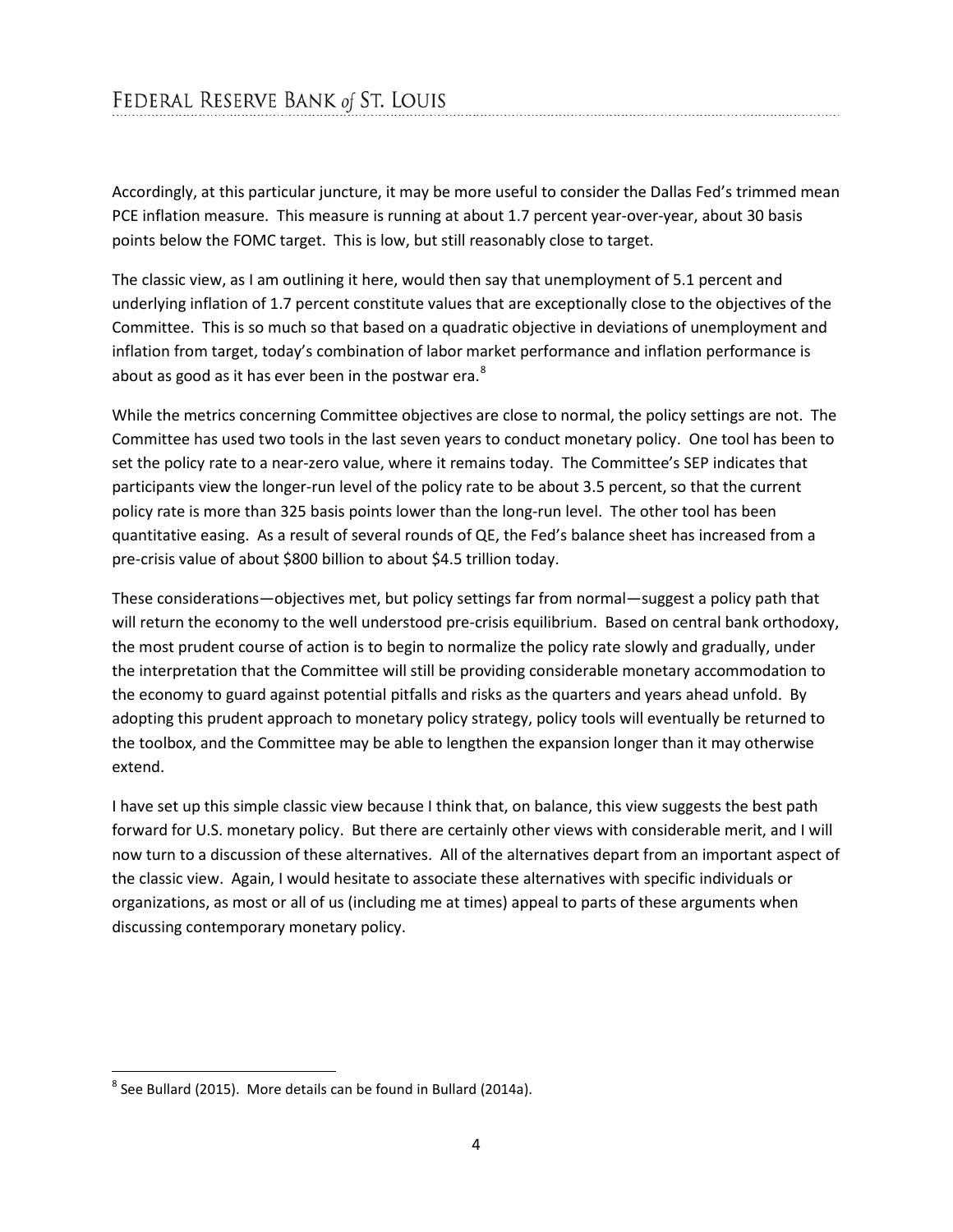Accordingly, at this particular juncture, it may be more useful to consider the Dallas Fed's trimmed mean PCE inflation measure. This measure is running at about 1.7 percent year-over-year, about 30 basis points below the FOMC target. This is low, but still reasonably close to target.

The classic view, as I am outlining it here, would then say that unemployment of 5.1 percent and underlying inflation of 1.7 percent constitute values that are exceptionally close to the objectives of the Committee. This is so much so that based on a quadratic objective in deviations of unemployment and inflation from target, today's combination of labor market performance and inflation performance is about as good as it has ever been in the postwar era. $8$ 

While the metrics concerning Committee objectives are close to normal, the policy settings are not. The Committee has used two tools in the last seven years to conduct monetary policy. One tool has been to set the policy rate to a near-zero value, where it remains today. The Committee's SEP indicates that participants view the longer-run level of the policy rate to be about 3.5 percent, so that the current policy rate is more than 325 basis points lower than the long-run level. The other tool has been quantitative easing. As a result of several rounds of QE, the Fed's balance sheet has increased from a pre-crisis value of about \$800 billion to about \$4.5 trillion today.

These considerations—objectives met, but policy settings far from normal—suggest a policy path that will return the economy to the well understood pre-crisis equilibrium. Based on central bank orthodoxy, the most prudent course of action is to begin to normalize the policy rate slowly and gradually, under the interpretation that the Committee will still be providing considerable monetary accommodation to the economy to guard against potential pitfalls and risks as the quarters and years ahead unfold. By adopting this prudent approach to monetary policy strategy, policy tools will eventually be returned to the toolbox, and the Committee may be able to lengthen the expansion longer than it may otherwise extend.

I have set up this simple classic view because I think that, on balance, this view suggests the best path forward for U.S. monetary policy. But there are certainly other views with considerable merit, and I will now turn to a discussion of these alternatives. All of the alternatives depart from an important aspect of the classic view. Again, I would hesitate to associate these alternatives with specific individuals or organizations, as most or all of us (including me at times) appeal to parts of these arguments when discussing contemporary monetary policy.

<span id="page-3-0"></span> $8$  See Bullard (2015). More details can be found in Bullard (2014a).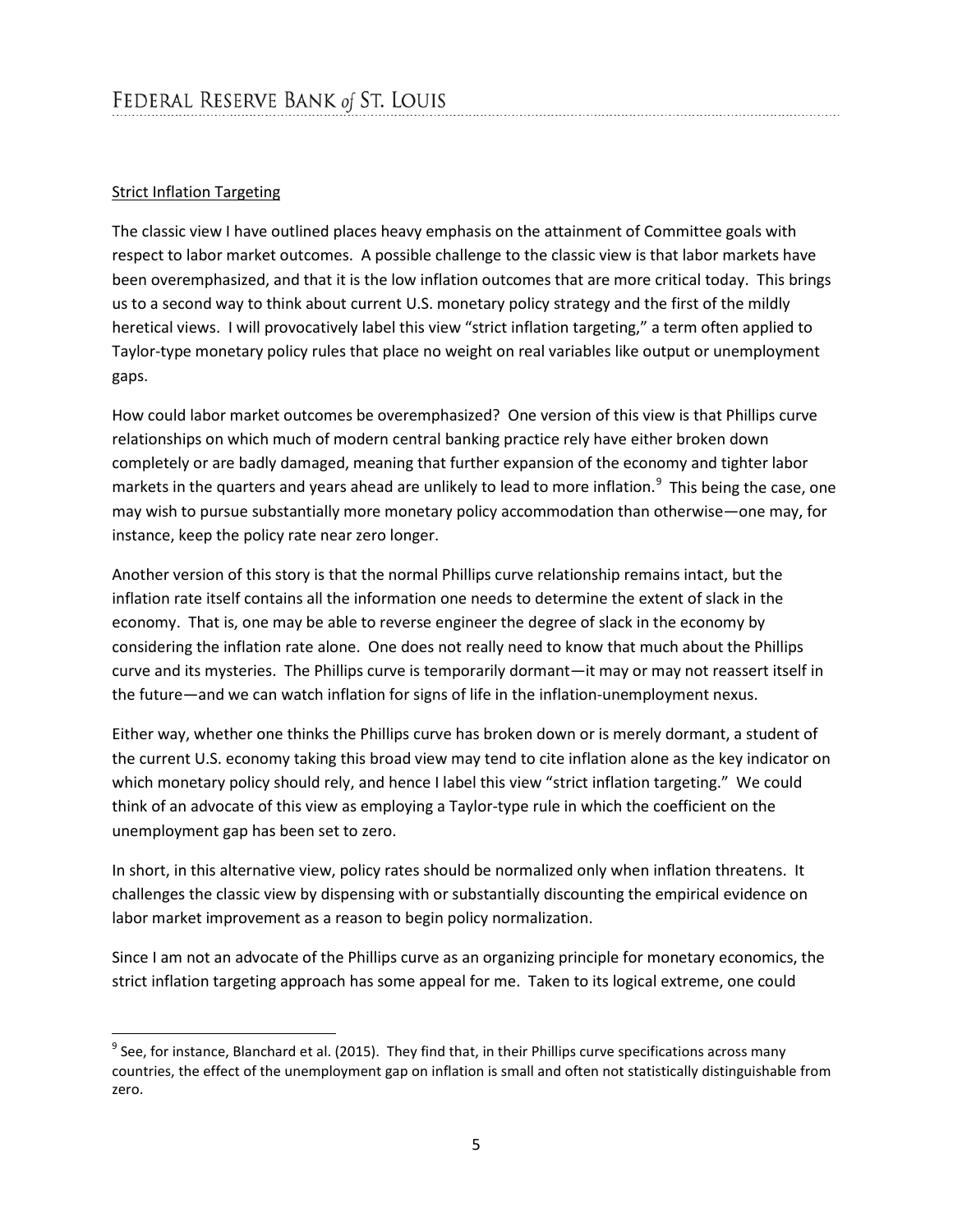#### Strict Inflation Targeting

The classic view I have outlined places heavy emphasis on the attainment of Committee goals with respect to labor market outcomes. A possible challenge to the classic view is that labor markets have been overemphasized, and that it is the low inflation outcomes that are more critical today. This brings us to a second way to think about current U.S. monetary policy strategy and the first of the mildly heretical views. I will provocatively label this view "strict inflation targeting," a term often applied to Taylor-type monetary policy rules that place no weight on real variables like output or unemployment gaps.

How could labor market outcomes be overemphasized? One version of this view is that Phillips curve relationships on which much of modern central banking practice rely have either broken down completely or are badly damaged, meaning that further expansion of the economy and tighter labor markets in the quarters and years ahead are unlikely to lead to more inflation.<sup>[9](#page-4-0)</sup> This being the case, one may wish to pursue substantially more monetary policy accommodation than otherwise—one may, for instance, keep the policy rate near zero longer.

Another version of this story is that the normal Phillips curve relationship remains intact, but the inflation rate itself contains all the information one needs to determine the extent of slack in the economy. That is, one may be able to reverse engineer the degree of slack in the economy by considering the inflation rate alone. One does not really need to know that much about the Phillips curve and its mysteries. The Phillips curve is temporarily dormant—it may or may not reassert itself in the future—and we can watch inflation for signs of life in the inflation-unemployment nexus.

Either way, whether one thinks the Phillips curve has broken down or is merely dormant, a student of the current U.S. economy taking this broad view may tend to cite inflation alone as the key indicator on which monetary policy should rely, and hence I label this view "strict inflation targeting." We could think of an advocate of this view as employing a Taylor-type rule in which the coefficient on the unemployment gap has been set to zero.

In short, in this alternative view, policy rates should be normalized only when inflation threatens. It challenges the classic view by dispensing with or substantially discounting the empirical evidence on labor market improvement as a reason to begin policy normalization.

Since I am not an advocate of the Phillips curve as an organizing principle for monetary economics, the strict inflation targeting approach has some appeal for me. Taken to its logical extreme, one could

<span id="page-4-0"></span> $<sup>9</sup>$  See, for instance, Blanchard et al. (2015). They find that, in their Phillips curve specifications across many</sup> countries, the effect of the unemployment gap on inflation is small and often not statistically distinguishable from zero.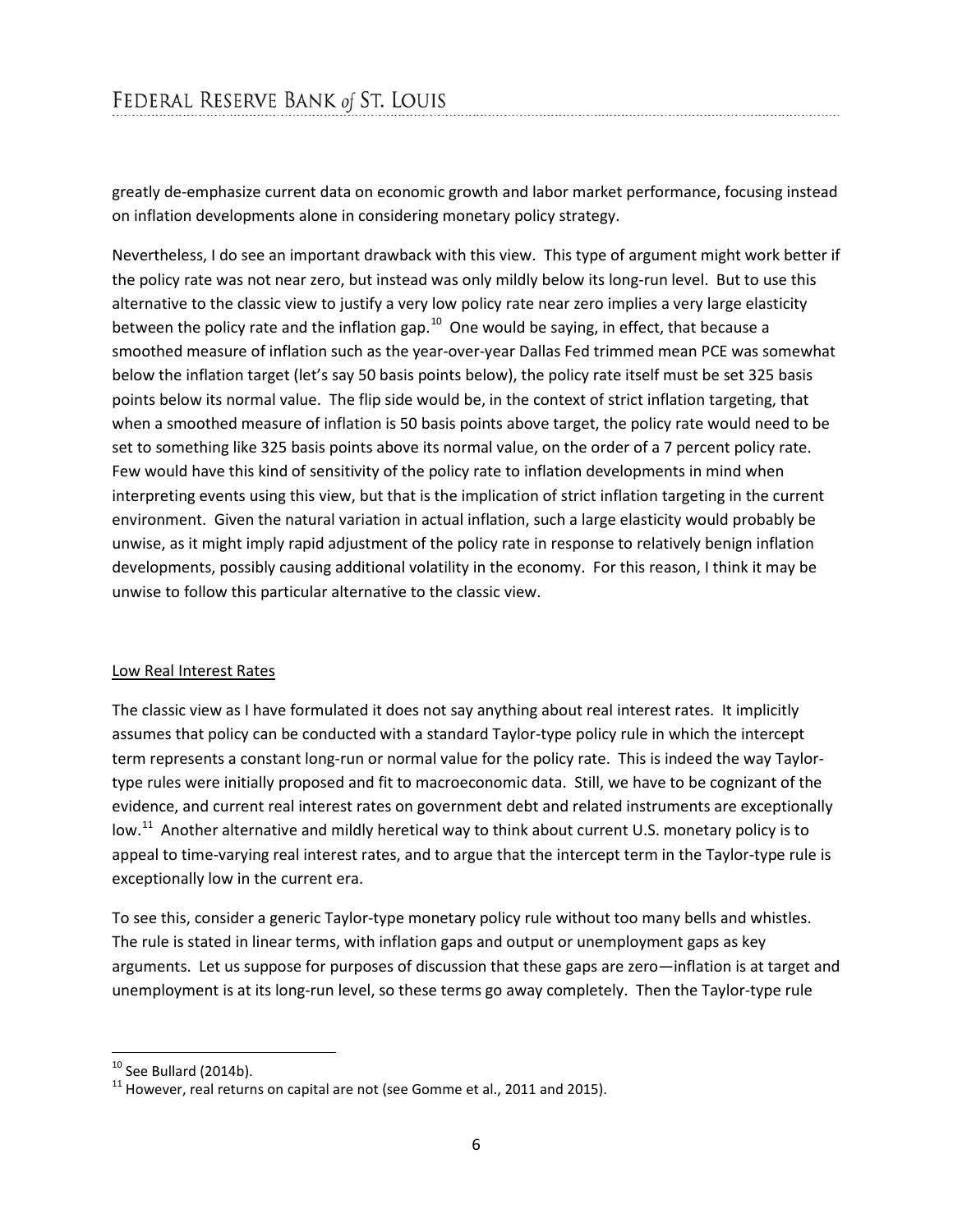greatly de-emphasize current data on economic growth and labor market performance, focusing instead on inflation developments alone in considering monetary policy strategy.

Nevertheless, I do see an important drawback with this view. This type of argument might work better if the policy rate was not near zero, but instead was only mildly below its long-run level. But to use this alternative to the classic view to justify a very low policy rate near zero implies a very large elasticity between the policy rate and the inflation gap.<sup>10</sup> One would be saying, in effect, that because a smoothed measure of inflation such as the year-over-year Dallas Fed trimmed mean PCE was somewhat below the inflation target (let's say 50 basis points below), the policy rate itself must be set 325 basis points below its normal value. The flip side would be, in the context of strict inflation targeting, that when a smoothed measure of inflation is 50 basis points above target, the policy rate would need to be set to something like 325 basis points above its normal value, on the order of a 7 percent policy rate. Few would have this kind of sensitivity of the policy rate to inflation developments in mind when interpreting events using this view, but that is the implication of strict inflation targeting in the current environment. Given the natural variation in actual inflation, such a large elasticity would probably be unwise, as it might imply rapid adjustment of the policy rate in response to relatively benign inflation developments, possibly causing additional volatility in the economy. For this reason, I think it may be unwise to follow this particular alternative to the classic view.

#### Low Real Interest Rates

The classic view as I have formulated it does not say anything about real interest rates. It implicitly assumes that policy can be conducted with a standard Taylor-type policy rule in which the intercept term represents a constant long-run or normal value for the policy rate. This is indeed the way Taylortype rules were initially proposed and fit to macroeconomic data. Still, we have to be cognizant of the evidence, and current real interest rates on government debt and related instruments are exceptionally low.<sup>[11](#page-5-1)</sup> Another alternative and mildly heretical way to think about current U.S. monetary policy is to appeal to time-varying real interest rates, and to argue that the intercept term in the Taylor-type rule is exceptionally low in the current era.

To see this, consider a generic Taylor-type monetary policy rule without too many bells and whistles. The rule is stated in linear terms, with inflation gaps and output or unemployment gaps as key arguments. Let us suppose for purposes of discussion that these gaps are zero—inflation is at target and unemployment is at its long-run level, so these terms go away completely. Then the Taylor-type rule

<span id="page-5-1"></span>

<span id="page-5-0"></span> $10$  See Bullard (2014b).<br> $11$  However, real returns on capital are not (see Gomme et al., 2011 and 2015).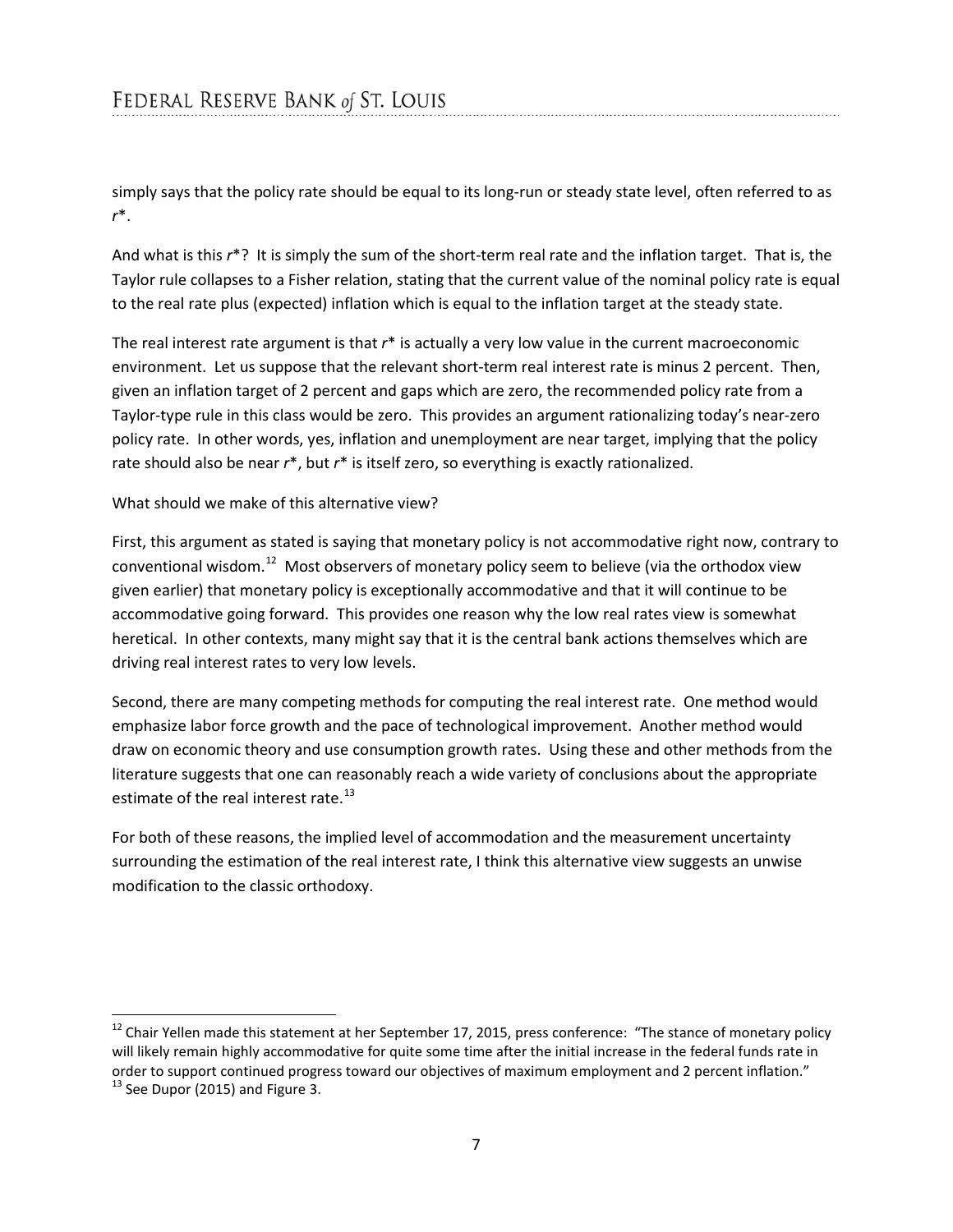simply says that the policy rate should be equal to its long-run or steady state level, often referred to as *r*\*.

And what is this *r*\*? It is simply the sum of the short-term real rate and the inflation target. That is, the Taylor rule collapses to a Fisher relation, stating that the current value of the nominal policy rate is equal to the real rate plus (expected) inflation which is equal to the inflation target at the steady state.

The real interest rate argument is that *r*\* is actually a very low value in the current macroeconomic environment. Let us suppose that the relevant short-term real interest rate is minus 2 percent. Then, given an inflation target of 2 percent and gaps which are zero, the recommended policy rate from a Taylor-type rule in this class would be zero. This provides an argument rationalizing today's near-zero policy rate. In other words, yes, inflation and unemployment are near target, implying that the policy rate should also be near *r*\*, but *r*\* is itself zero, so everything is exactly rationalized.

What should we make of this alternative view?

First, this argument as stated is saying that monetary policy is not accommodative right now, contrary to conventional wisdom.<sup>12</sup> Most observers of monetary policy seem to believe (via the orthodox view given earlier) that monetary policy is exceptionally accommodative and that it will continue to be accommodative going forward. This provides one reason why the low real rates view is somewhat heretical. In other contexts, many might say that it is the central bank actions themselves which are driving real interest rates to very low levels.

Second, there are many competing methods for computing the real interest rate. One method would emphasize labor force growth and the pace of technological improvement. Another method would draw on economic theory and use consumption growth rates. Using these and other methods from the literature suggests that one can reasonably reach a wide variety of conclusions about the appropriate estimate of the real interest rate. $^{13}$  $^{13}$  $^{13}$ 

For both of these reasons, the implied level of accommodation and the measurement uncertainty surrounding the estimation of the real interest rate, I think this alternative view suggests an unwise modification to the classic orthodoxy.

<span id="page-6-1"></span><span id="page-6-0"></span> $12$  Chair Yellen made this statement at her September 17, 2015, press conference: "The stance of monetary policy will likely remain highly accommodative for quite some time after the initial increase in the federal funds rate in order to support continued progress toward our objectives of maximum employment and 2 percent inflation."<br><sup>13</sup> See Dupor (2015) and Figure 3.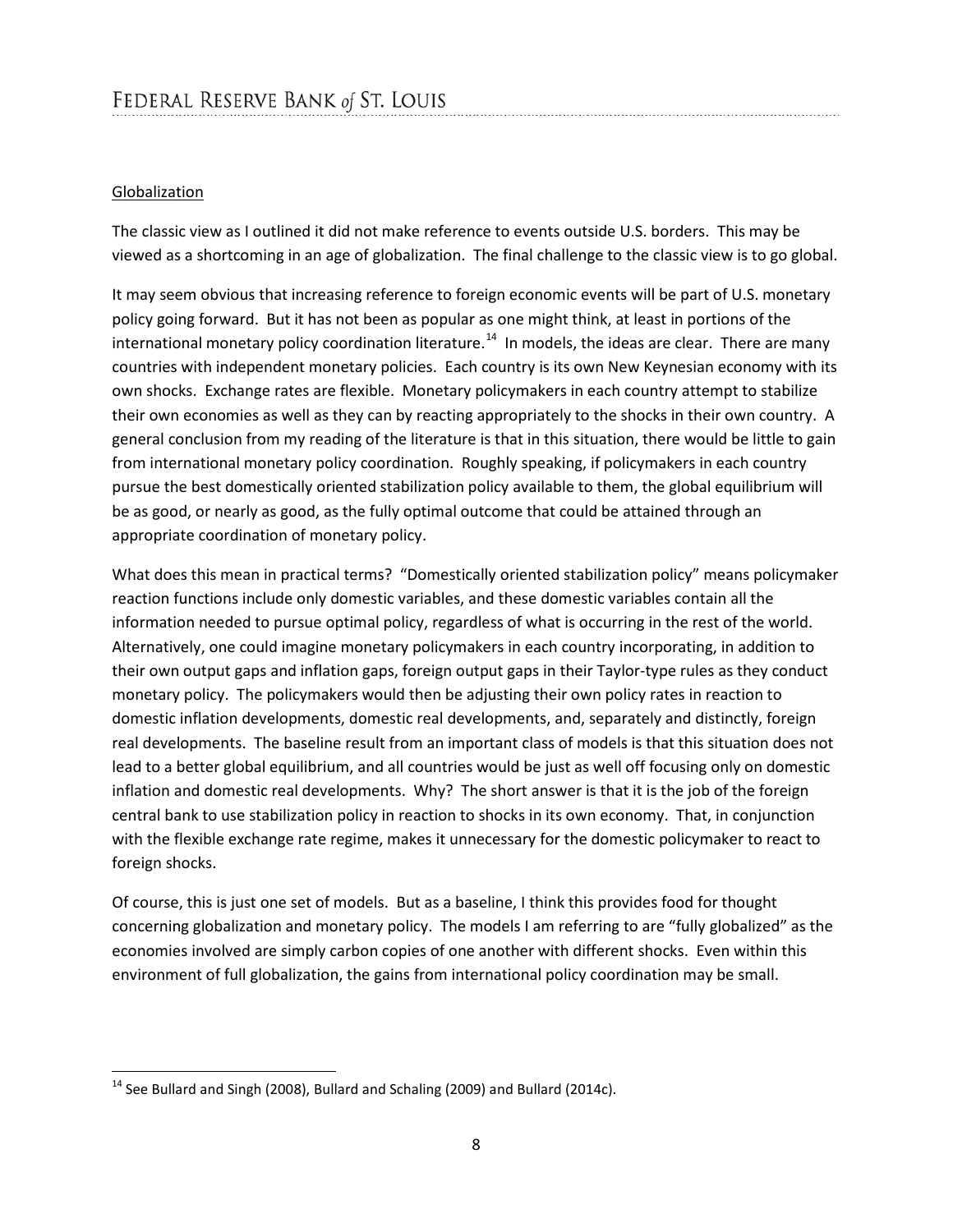#### Globalization

The classic view as I outlined it did not make reference to events outside U.S. borders. This may be viewed as a shortcoming in an age of globalization. The final challenge to the classic view is to go global.

It may seem obvious that increasing reference to foreign economic events will be part of U.S. monetary policy going forward. But it has not been as popular as one might think, at least in portions of the international monetary policy coordination literature.<sup>[14](#page-7-0)</sup> In models, the ideas are clear. There are many countries with independent monetary policies. Each country is its own New Keynesian economy with its own shocks. Exchange rates are flexible. Monetary policymakers in each country attempt to stabilize their own economies as well as they can by reacting appropriately to the shocks in their own country. A general conclusion from my reading of the literature is that in this situation, there would be little to gain from international monetary policy coordination. Roughly speaking, if policymakers in each country pursue the best domestically oriented stabilization policy available to them, the global equilibrium will be as good, or nearly as good, as the fully optimal outcome that could be attained through an appropriate coordination of monetary policy.

What does this mean in practical terms? "Domestically oriented stabilization policy" means policymaker reaction functions include only domestic variables, and these domestic variables contain all the information needed to pursue optimal policy, regardless of what is occurring in the rest of the world. Alternatively, one could imagine monetary policymakers in each country incorporating, in addition to their own output gaps and inflation gaps, foreign output gaps in their Taylor-type rules as they conduct monetary policy. The policymakers would then be adjusting their own policy rates in reaction to domestic inflation developments, domestic real developments, and, separately and distinctly, foreign real developments. The baseline result from an important class of models is that this situation does not lead to a better global equilibrium, and all countries would be just as well off focusing only on domestic inflation and domestic real developments. Why? The short answer is that it is the job of the foreign central bank to use stabilization policy in reaction to shocks in its own economy. That, in conjunction with the flexible exchange rate regime, makes it unnecessary for the domestic policymaker to react to foreign shocks.

Of course, this is just one set of models. But as a baseline, I think this provides food for thought concerning globalization and monetary policy. The models I am referring to are "fully globalized" as the economies involved are simply carbon copies of one another with different shocks. Even within this environment of full globalization, the gains from international policy coordination may be small.

<span id="page-7-0"></span> $14$  See Bullard and Singh (2008), Bullard and Schaling (2009) and Bullard (2014c).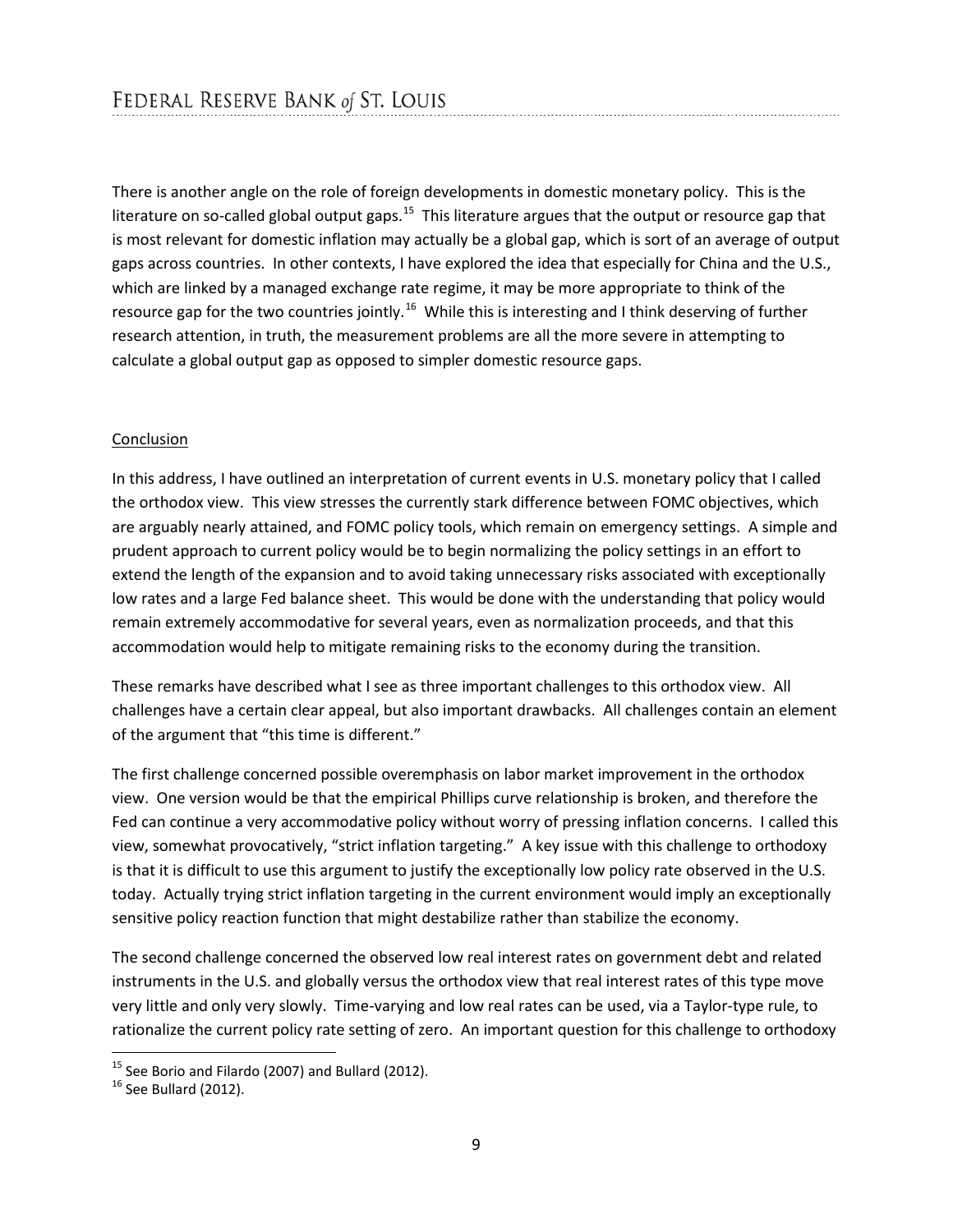There is another angle on the role of foreign developments in domestic monetary policy. This is the literature on so-called global output gaps.<sup>[15](#page-8-0)</sup> This literature argues that the output or resource gap that is most relevant for domestic inflation may actually be a global gap, which is sort of an average of output gaps across countries. In other contexts, I have explored the idea that especially for China and the U.S., which are linked by a managed exchange rate regime, it may be more appropriate to think of the resource gap for the two countries jointly.<sup>[16](#page-8-1)</sup> While this is interesting and I think deserving of further research attention, in truth, the measurement problems are all the more severe in attempting to calculate a global output gap as opposed to simpler domestic resource gaps.

#### **Conclusion**

In this address, I have outlined an interpretation of current events in U.S. monetary policy that I called the orthodox view. This view stresses the currently stark difference between FOMC objectives, which are arguably nearly attained, and FOMC policy tools, which remain on emergency settings. A simple and prudent approach to current policy would be to begin normalizing the policy settings in an effort to extend the length of the expansion and to avoid taking unnecessary risks associated with exceptionally low rates and a large Fed balance sheet. This would be done with the understanding that policy would remain extremely accommodative for several years, even as normalization proceeds, and that this accommodation would help to mitigate remaining risks to the economy during the transition.

These remarks have described what I see as three important challenges to this orthodox view. All challenges have a certain clear appeal, but also important drawbacks. All challenges contain an element of the argument that "this time is different."

The first challenge concerned possible overemphasis on labor market improvement in the orthodox view. One version would be that the empirical Phillips curve relationship is broken, and therefore the Fed can continue a very accommodative policy without worry of pressing inflation concerns. I called this view, somewhat provocatively, "strict inflation targeting." A key issue with this challenge to orthodoxy is that it is difficult to use this argument to justify the exceptionally low policy rate observed in the U.S. today. Actually trying strict inflation targeting in the current environment would imply an exceptionally sensitive policy reaction function that might destabilize rather than stabilize the economy.

The second challenge concerned the observed low real interest rates on government debt and related instruments in the U.S. and globally versus the orthodox view that real interest rates of this type move very little and only very slowly. Time-varying and low real rates can be used, via a Taylor-type rule, to rationalize the current policy rate setting of zero. An important question for this challenge to orthodoxy

<span id="page-8-0"></span><sup>&</sup>lt;sup>15</sup> See Borio and Filardo (2007) and Bullard (2012).<br><sup>16</sup> See Bullard (2012).

<span id="page-8-1"></span>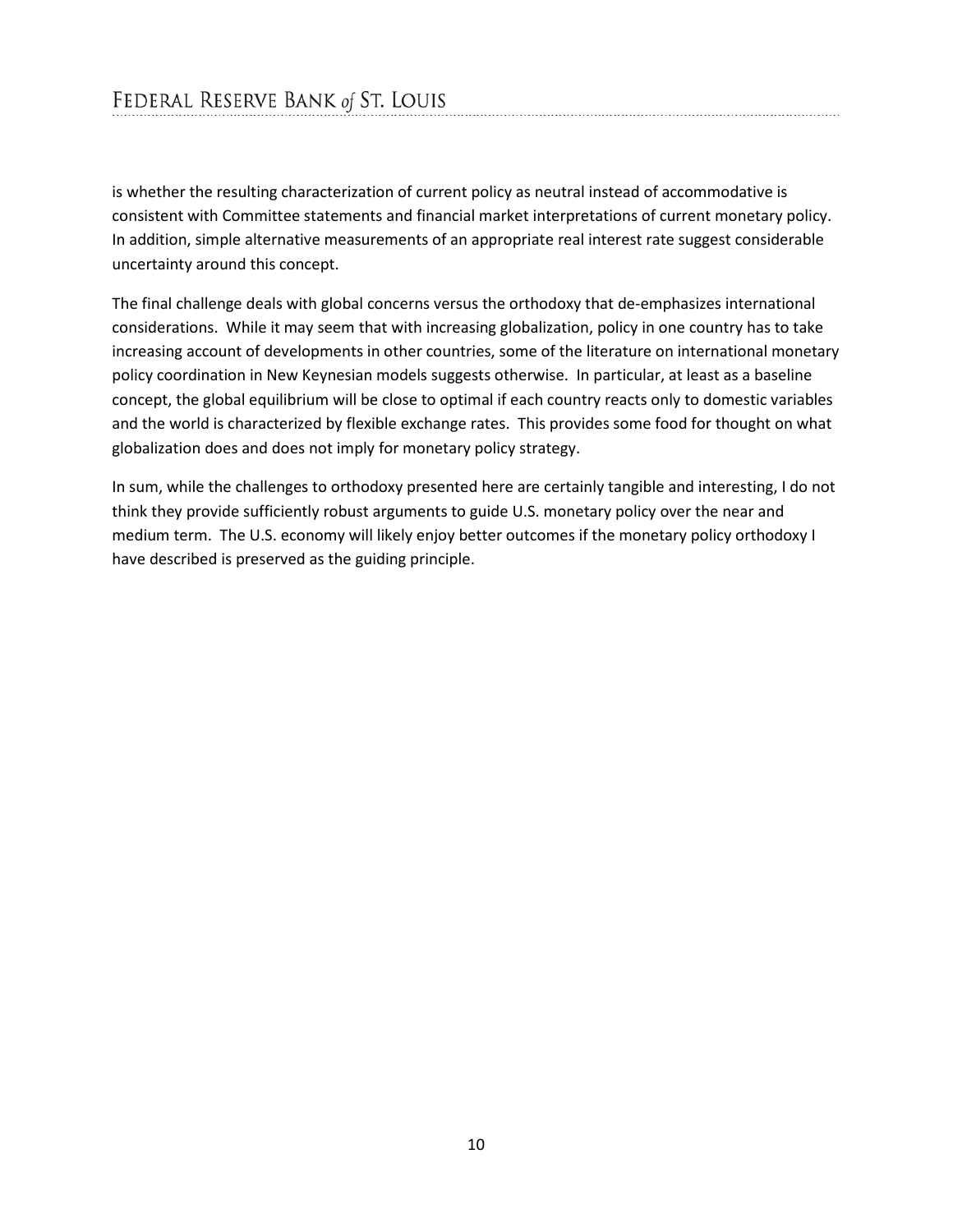is whether the resulting characterization of current policy as neutral instead of accommodative is consistent with Committee statements and financial market interpretations of current monetary policy. In addition, simple alternative measurements of an appropriate real interest rate suggest considerable uncertainty around this concept.

The final challenge deals with global concerns versus the orthodoxy that de-emphasizes international considerations. While it may seem that with increasing globalization, policy in one country has to take increasing account of developments in other countries, some of the literature on international monetary policy coordination in New Keynesian models suggests otherwise. In particular, at least as a baseline concept, the global equilibrium will be close to optimal if each country reacts only to domestic variables and the world is characterized by flexible exchange rates. This provides some food for thought on what globalization does and does not imply for monetary policy strategy.

In sum, while the challenges to orthodoxy presented here are certainly tangible and interesting, I do not think they provide sufficiently robust arguments to guide U.S. monetary policy over the near and medium term. The U.S. economy will likely enjoy better outcomes if the monetary policy orthodoxy I have described is preserved as the guiding principle.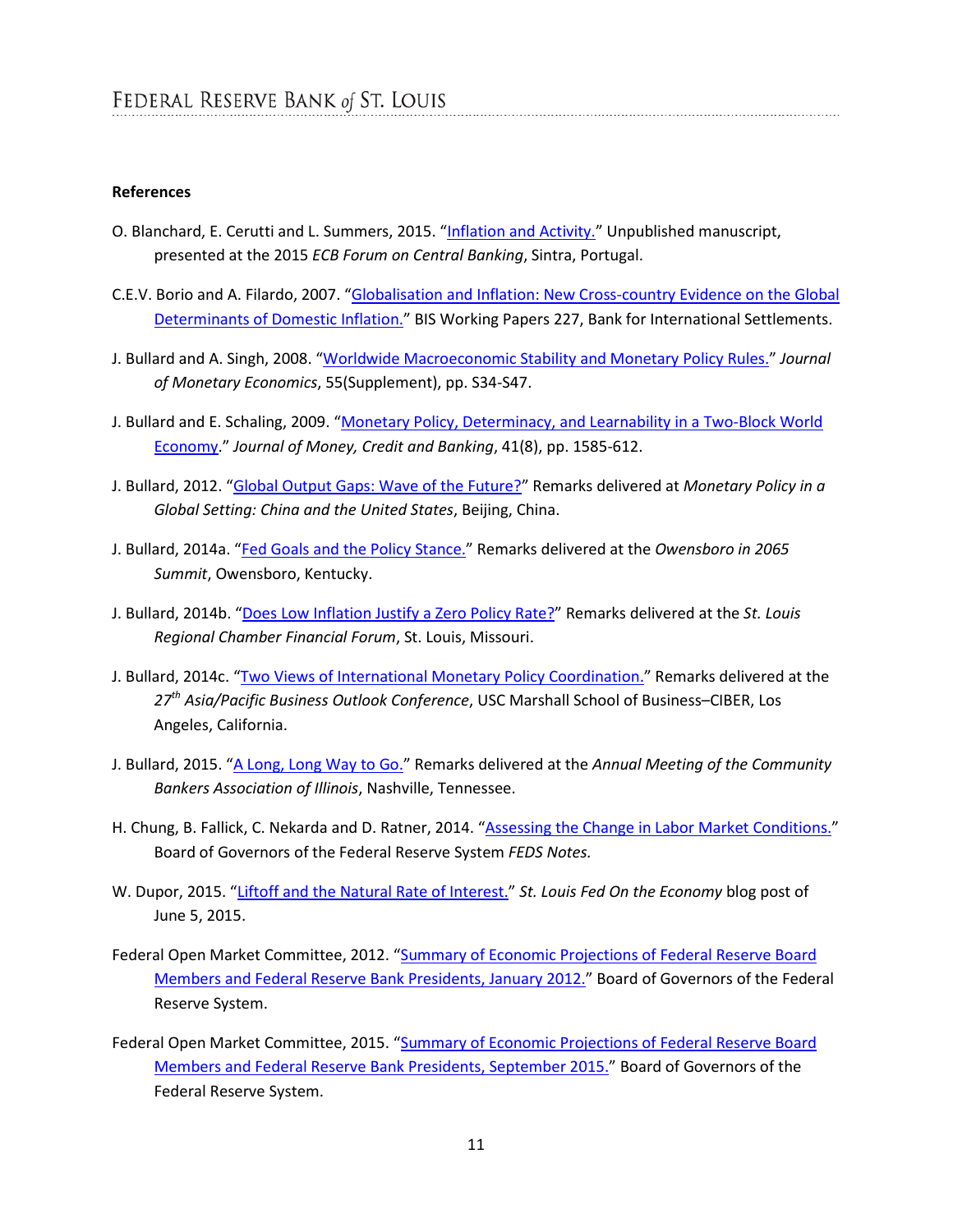#### **References**

- O. Blanchard, E. Cerutti and L. Summers, 2015. ["Inflation and Activity."](https://ecbforum.eu/send_file.php?did=5878a7ab84fb43402106c575658472fa&ff=YmluX3BhcGVyX3BkZg==&fd=dGl0dWxvX2Vu&tid=YXJ0aWdvcw==&pf=UEFQRVJf) Unpublished manuscript, presented at the 2015 *ECB Forum on Central Banking*, Sintra, Portugal.
- C.E.V. Borio and A. Filardo, 2007. ["Globalisation and Inflation: New Cross-country Evidence on the Global](http://www.bis.org/publ/work227.pdf)  [Determinants of Domestic Inflation."](http://www.bis.org/publ/work227.pdf) BIS Working Papers 227, Bank for International Settlements.
- J. Bullard and A. Singh, 2008. ["Worldwide Macroeconomic Stability and Monetary Policy Rules."](http://www.sciencedirect.com/science/article/pii/S0304393208001086) *Journal of Monetary Economics*, 55(Supplement), pp. S34-S47.
- J. Bullard and E. Schaling, 2009. "Monetary Policy, Determinacy, and Learnability in a Two-Block World [Economy.](http://dx.doi.org/10.1111/j.1538-4616.2009.00268.x)" *Journal of Money, Credit and Banking*, 41(8), pp. 1585-612.
- J. Bullard, 2012. ["Global Output Gaps: Wave of the Future?"](https://www.stlouisfed.org/%7E/media/Files/PDFs/Bullard/remarks/BullardBeijing28Mar2012Final.pdf) Remarks delivered at *Monetary Policy in a Global Setting: China and the United States*, Beijing, China.
- J. Bullard, 2014a. ["Fed Goals and the Policy Stance."](https://www.stlouisfed.org/%7E/media/Files/PDFs/Bullard/remarks/BullardOwensboroKYChamberofCommerce17July2014Final.pdf) Remarks delivered at the *Owensboro in 2065 Summit*, Owensboro, Kentucky.
- J. Bullard, 2014b. ["Does Low Inflation Justify a Zero Policy Rate?"](https://www.stlouisfed.org/%7E/media/Files/PDFs/Bullard/remarks/Bullard-StL-Regional-Chamber-Financial-Forum-14-November-2014-Final.pdf) Remarks delivered at the *St. Louis Regional Chamber Financial Forum*, St. Louis, Missouri.
- J. Bullard, 2014c. ["Two Views of International Monetary Policy Coordination."](https://www.stlouisfed.org/%7E/media/Files/PDFs/Bullard/remarks/Bullard-APBO-USC-Marshall-April-7-2014-Final.pdf) Remarks delivered at the *27th Asia/Pacific Business Outlook Conference*, USC Marshall School of Business–CIBER, Los Angeles, California.
- J. Bullard, 2015. ["A Long, Long Way to Go."](https://www.stlouisfed.org/%7E/media/Files/PDFs/Bullard/remarks/Bullard-CBA-of-IL-Nashville-Sep-19-2015.pdf) Remarks delivered at the *Annual Meeting of the Community Bankers Association of Illinois*, Nashville, Tennessee.
- H. Chung, B. Fallick, C. Nekarda and D. Ratner, 2014. ["Assessing the Change in Labor Market Conditions."](http://www.federalreserve.gov/econresdata/notes/feds-notes/2014/assessing-the-change-in-labor-market-conditions-20140522.html) Board of Governors of the Federal Reserve System *FEDS Notes.*
- W. Dupor, 2015. ["Liftoff and the Natural Rate of Interest."](https://www.stlouisfed.org/on-the-economy/2015/june/liftoff-and-the-natural-rate-of-interest) *St. Louis Fed On the Economy* blog post of June 5, 2015.
- Federal Open Market Committee, 2012. ["Summary of Economic Projections of Federal Reserve Board](http://www.federalreserve.gov/monetarypolicy/files/fomcprojtabl20120125.pdf)  [Members and Federal Reserve Bank Presidents, January 2012."](http://www.federalreserve.gov/monetarypolicy/files/fomcprojtabl20120125.pdf) Board of Governors of the Federal Reserve System.
- Federal Open Market Committee, 2015. ["Summary of Economic Projections of Federal Reserve Board](http://www.federalreserve.gov/monetarypolicy/files/fomcprojtabl20150917.pdf)  [Members and Federal Reserve Bank Presidents, September 2015."](http://www.federalreserve.gov/monetarypolicy/files/fomcprojtabl20150917.pdf) Board of Governors of the Federal Reserve System.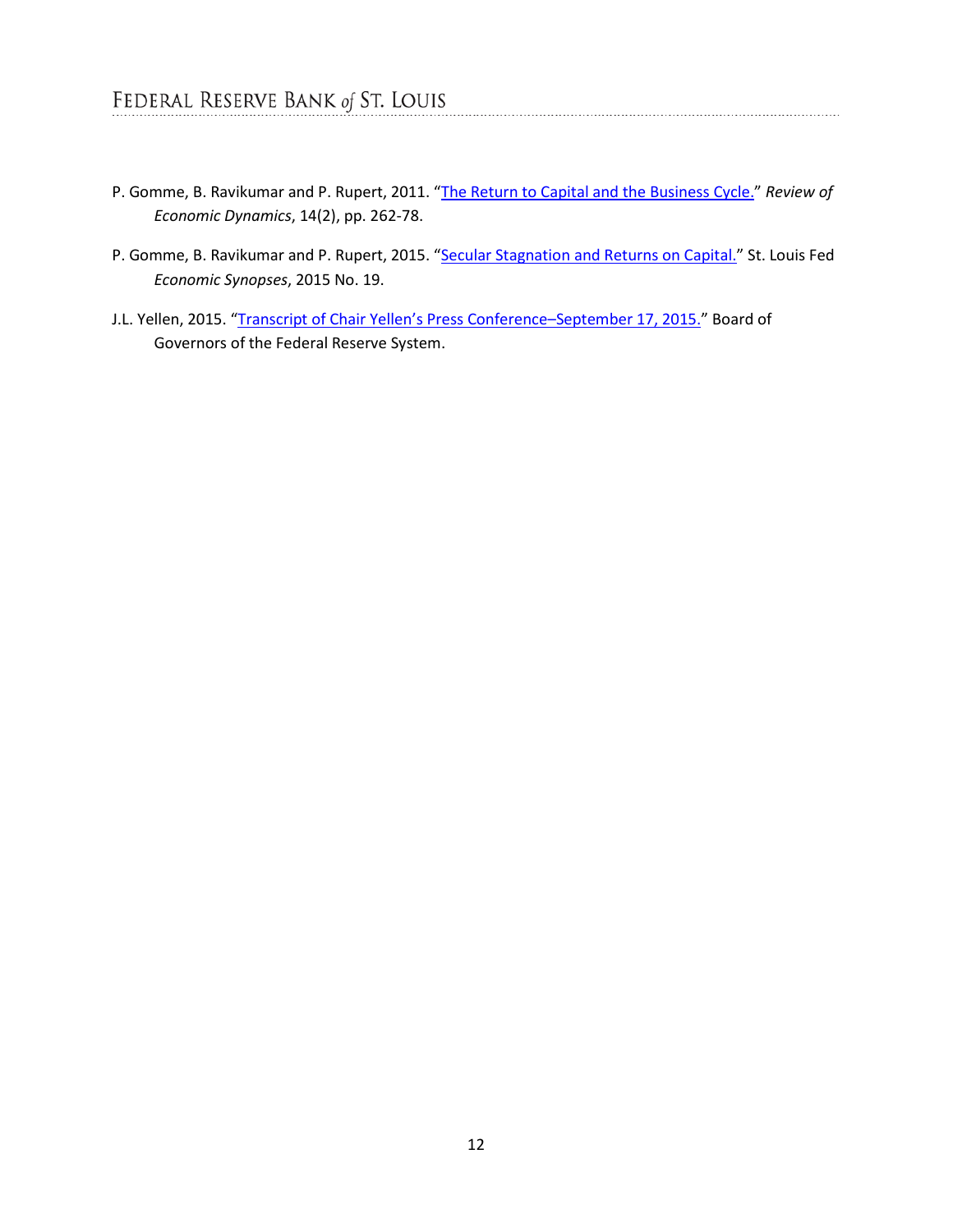P. Gomme, B. Ravikumar and P. Rupert, 2011. ["The Return to Capital and the Business Cycle."](http://www.sciencedirect.com/science/article/pii/S1094202510000591) *Review of Economic Dynamics*, 14(2), pp. 262-78.

- P. Gomme, B. Ravikumar and P. Rupert, 2015. ["Secular Stagnation and Returns on Capital."](https://research.stlouisfed.org/publications/economic-synopses/2015/08/18/secular-stagnation-and-returns-on-capital/) St. Louis Fed *Economic Synopses*, 2015 No. 19.
- J.L. Yellen, 2015. "Transcript of Chair Yellen's Press Conference-September 17, 2015." Board of Governors of the Federal Reserve System.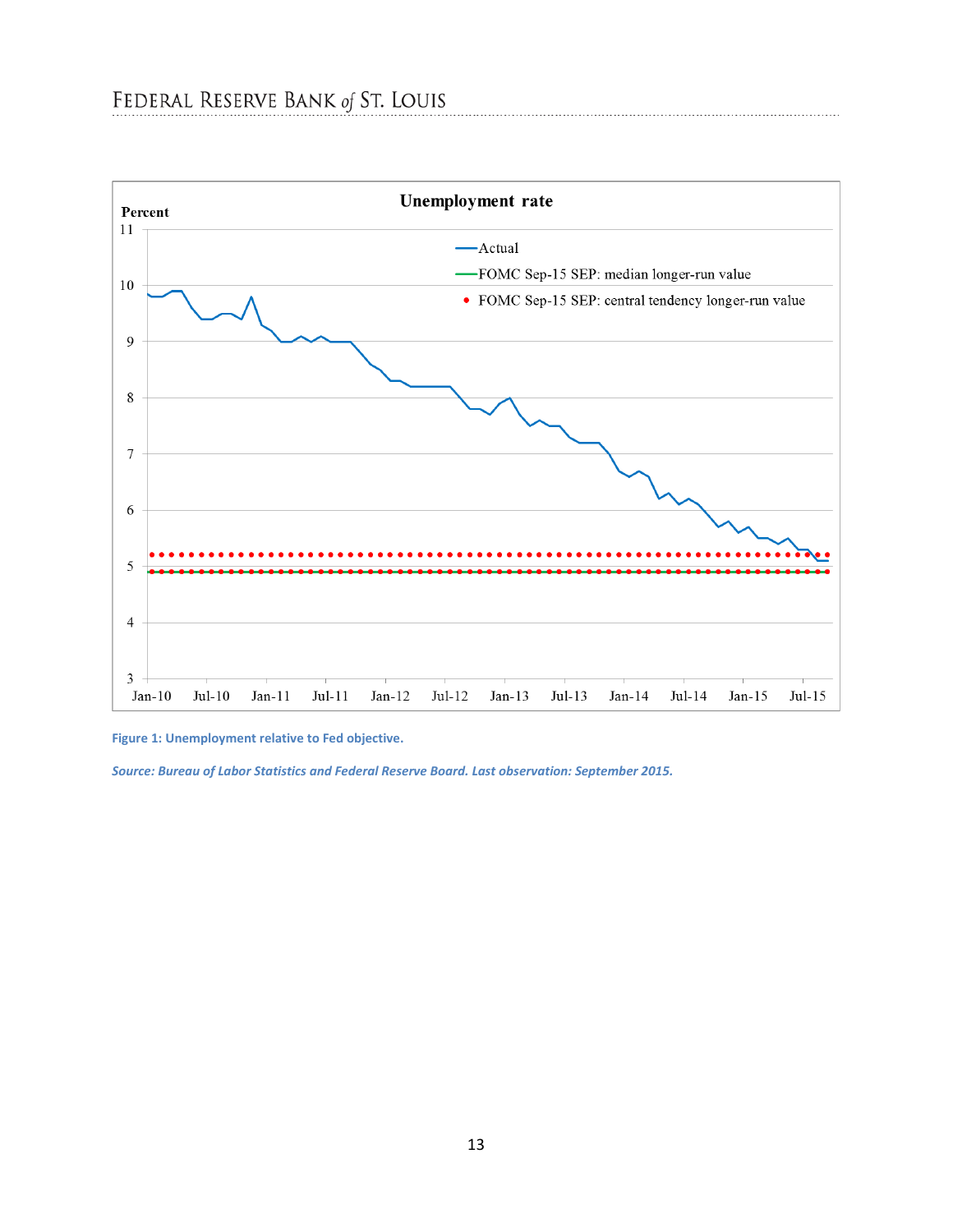

**Figure 1: Unemployment relative to Fed objective.** 

*Source: Bureau of Labor Statistics and Federal Reserve Board. Last observation: September 2015.*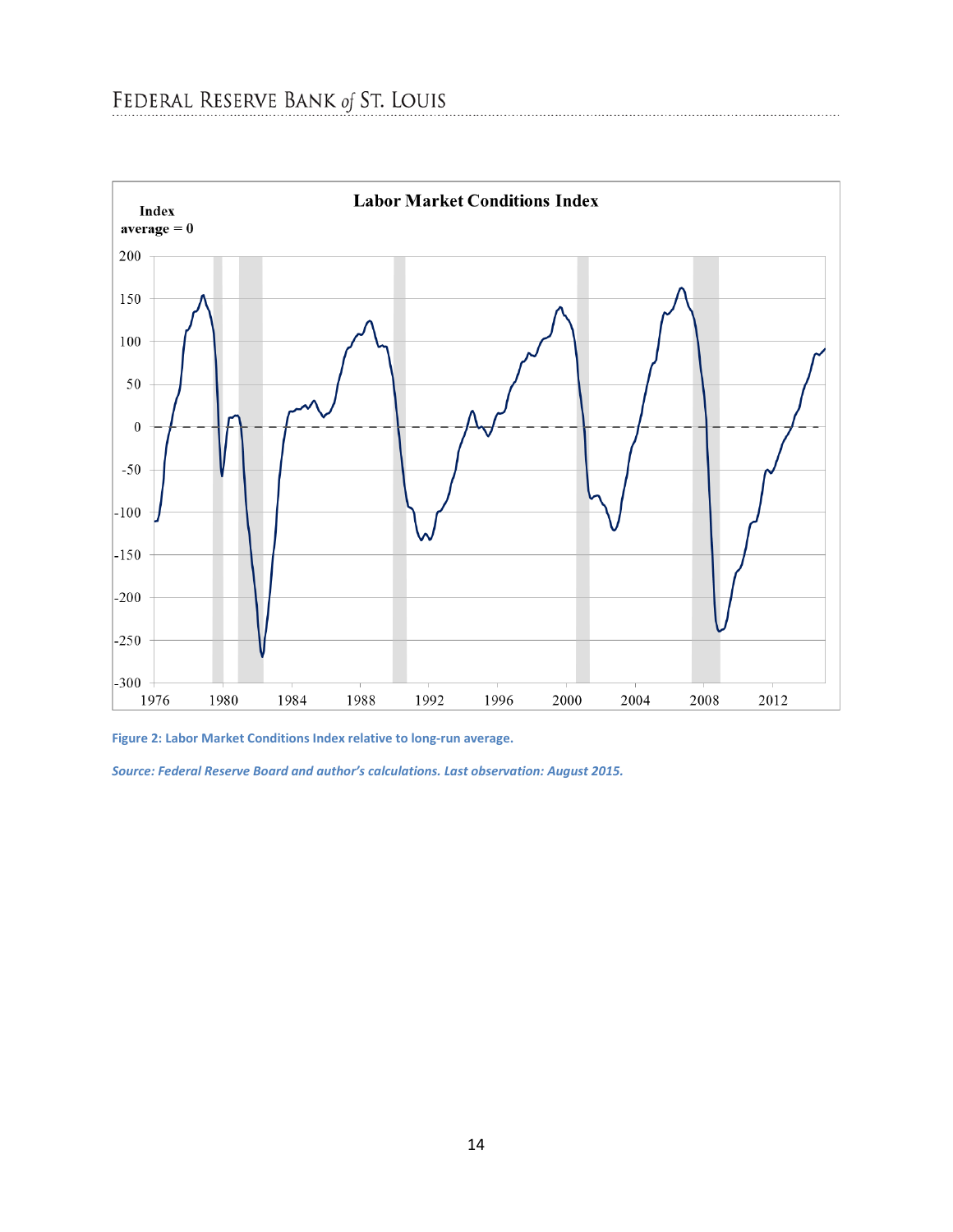

. . . . . . .

**Figure 2: Labor Market Conditions Index relative to long-run average.** 

*Source: Federal Reserve Board and author's calculations. Last observation: August 2015.*